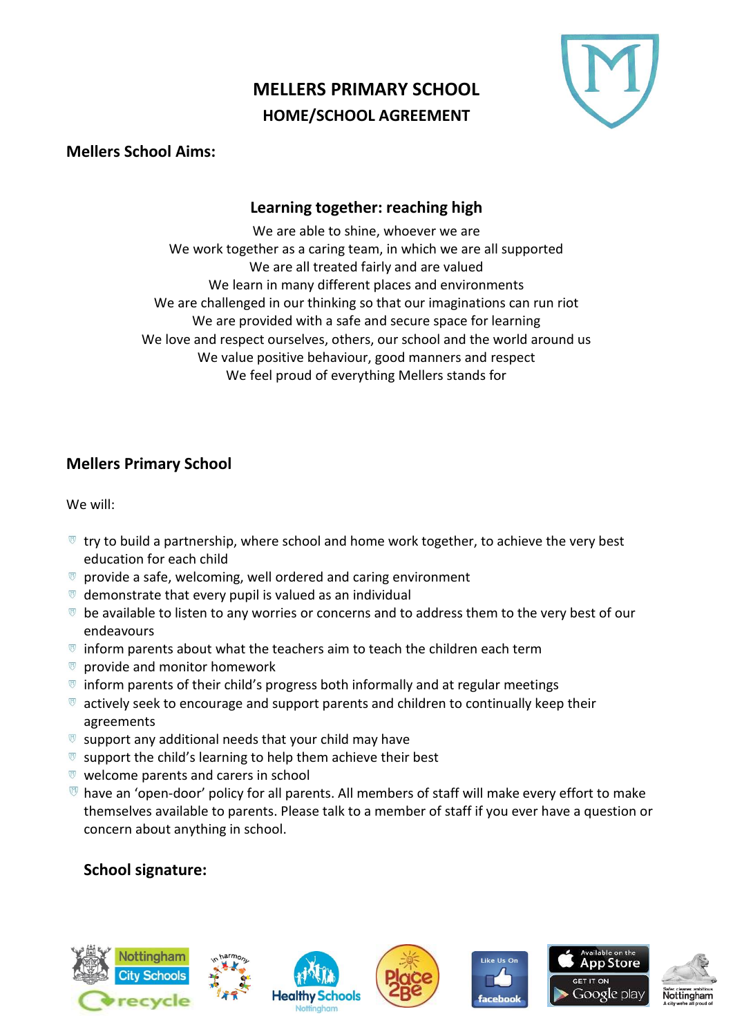# **MELLERS PRIMARY SCHOOL HOME/SCHOOL AGREEMENT**



### **Mellers School Aims:**

## **Learning together: reaching high**

We are able to shine, whoever we are We work together as a caring team, in which we are all supported We are all treated fairly and are valued We learn in many different places and environments We are challenged in our thinking so that our imaginations can run riot We are provided with a safe and secure space for learning We love and respect ourselves, others, our school and the world around us We value positive behaviour, good manners and respect We feel proud of everything Mellers stands for

# **Mellers Primary School**

We will:

- $\blacksquare$  try to build a partnership, where school and home work together, to achieve the very best education for each child
- $\sigma$  provide a safe, welcoming, well ordered and caring environment
- $\bullet$  demonstrate that every pupil is valued as an individual
- $\overline{v}$  be available to listen to any worries or concerns and to address them to the very best of our endeavours
- $\mathbb{F}$  inform parents about what the teachers aim to teach the children each term
- $\Box$  provide and monitor homework
- $\overline{v}$  inform parents of their child's progress both informally and at regular meetings
- $\mathbb{R}$  actively seek to encourage and support parents and children to continually keep their agreements
- $\mathbb{F}$  support any additional needs that your child may have
- $\mathbb{R}$  support the child's learning to help them achieve their best
- $\mathbb{R}$  welcome parents and carers in school
- $\mathbb O$  have an 'open-door' policy for all parents. All members of staff will make every effort to make themselves available to parents. Please talk to a member of staff if you ever have a question or concern about anything in school.

## **School signature:**